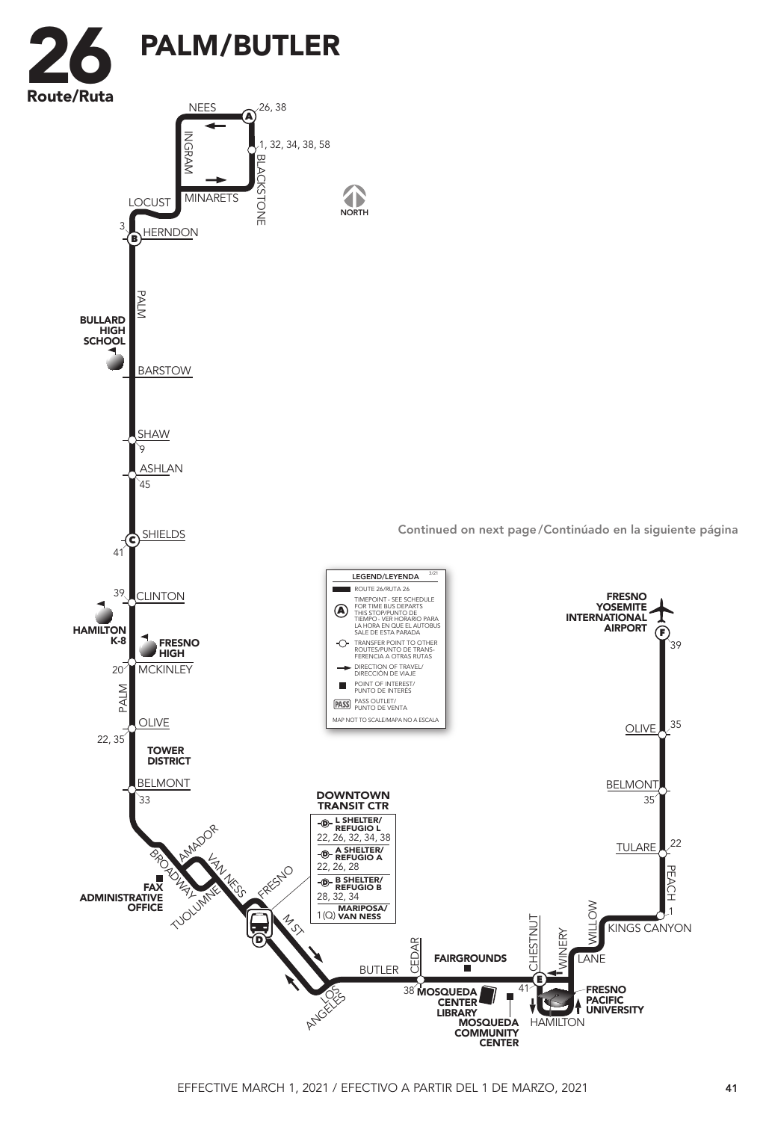

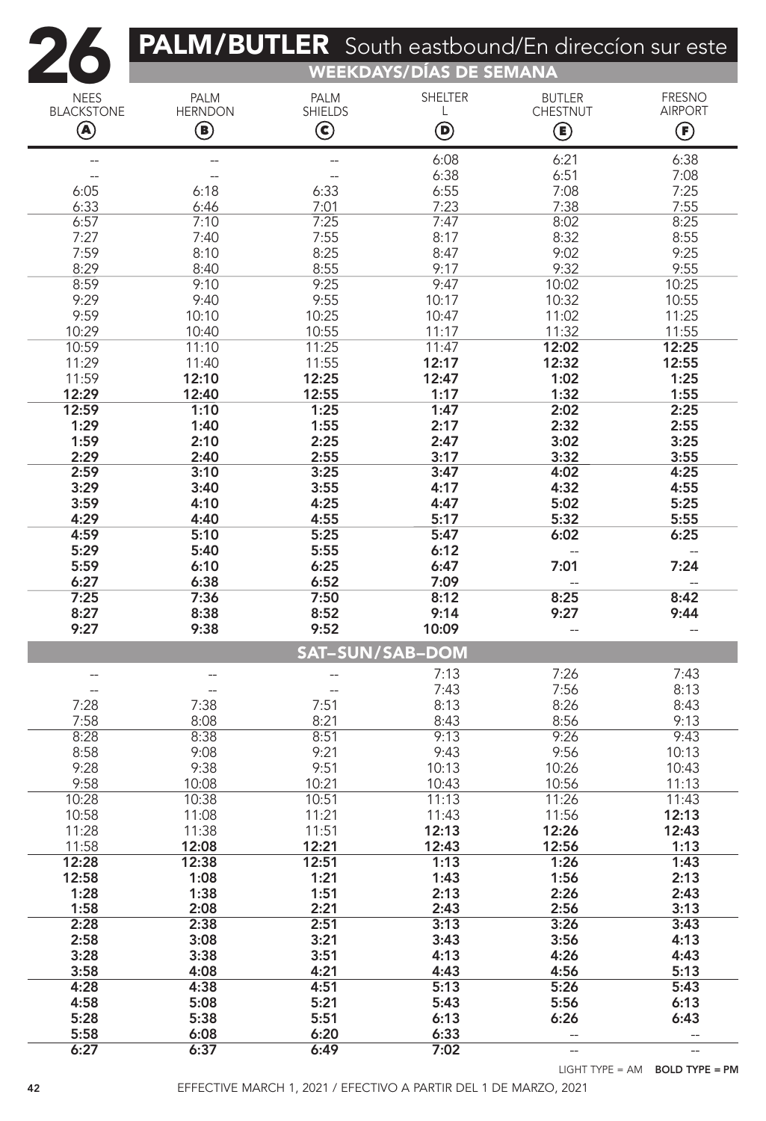|                        | PALM/BUTLER South eastbound/En direccion sur este |                | <b>WEEKDAYS/DÍAS DE SEMANA</b> |                 |                                          |  |  |  |  |
|------------------------|---------------------------------------------------|----------------|--------------------------------|-----------------|------------------------------------------|--|--|--|--|
| <b>NEES</b>            | <b>PALM</b>                                       | <b>PALM</b>    | <b>SHELTER</b>                 | <b>BUTLER</b>   | <b>FRESNO</b>                            |  |  |  |  |
| <b>BLACKSTONE</b>      | <b>HERNDON</b>                                    | <b>SHIELDS</b> | L                              | <b>CHESTNUT</b> | <b>AIRPORT</b>                           |  |  |  |  |
| ◉                      | ◉                                                 | $\bigodot$     | $\bm{\mathsf{\Theta}}$         | ◉               | $\bm{\mathop{\textcircled{\textsf{F}}}}$ |  |  |  |  |
| --                     |                                                   | --             | 6:08                           | 6:21            | 6:38                                     |  |  |  |  |
| 6:05                   |                                                   |                | 6:38                           | 6:51<br>7:08    | 7:08<br>7:25                             |  |  |  |  |
| 6:33                   | 6:18<br>6:46                                      | 6:33<br>7:01   | 6:55<br>7:23                   | 7:38            | 7:55                                     |  |  |  |  |
| 6:57                   | 7:10                                              | 7:25           | 7:47                           | 8:02            | 8:25                                     |  |  |  |  |
| 7:27<br>7:59           | 7:40<br>8:10                                      | 7:55<br>8:25   | 8:17<br>8:47                   | 8:32<br>9:02    | 8:55<br>9:25                             |  |  |  |  |
| 8:29                   | 8:40                                              | 8:55           | 9:17                           | 9:32            | 9:55                                     |  |  |  |  |
| 8:59                   | 9:10                                              | 9:25           | 9:47                           | 10:02           | 10:25                                    |  |  |  |  |
| 9:29<br>9:59           | 9:40                                              | 9:55           | 10:17                          | 10:32           | 10:55                                    |  |  |  |  |
| 10:29                  | 10:10<br>10:40                                    | 10:25<br>10:55 | 10:47<br>11:17                 | 11:02<br>11:32  | 11:25<br>11:55                           |  |  |  |  |
| 10:59                  | 11:10                                             | 11:25          | 11:47                          | 12:02           | 12:25                                    |  |  |  |  |
| 11:29                  | 11:40                                             | 11:55          | 12:17                          | 12:32           | 12:55                                    |  |  |  |  |
| 11:59<br>12:29         | 12:10<br>12:40                                    | 12:25<br>12:55 | 12:47<br>1:17                  | 1:02<br>1:32    | 1:25<br>1:55                             |  |  |  |  |
| 12:59                  | 1:10                                              | 1:25           | 1:47                           | 2:02            | 2:25                                     |  |  |  |  |
| 1:29                   | 1:40                                              | 1:55           | 2:17                           | 2:32            | 2:55                                     |  |  |  |  |
| 1:59                   | 2:10                                              | 2:25           | 2:47                           | 3:02            | 3:25                                     |  |  |  |  |
| 2:29<br>2:59           | 2:40<br>3:10                                      | 2:55<br>3:25   | 3:17<br>3:47                   | 3:32<br>4:02    | 3:55<br>4:25                             |  |  |  |  |
| 3:29                   | 3:40                                              | 3:55           | 4:17                           | 4:32            | 4:55                                     |  |  |  |  |
| 3:59                   | 4:10                                              | 4:25           | 4:47                           | 5:02            | 5:25                                     |  |  |  |  |
| 4:29                   | 4:40                                              | 4:55           | 5:17                           | 5:32            | 5:55                                     |  |  |  |  |
| 4:59<br>5:29           | 5:10<br>5:40                                      | 5:25<br>5:55   | 5:47<br>6:12                   | 6:02            | 6:25                                     |  |  |  |  |
| 5:59                   | 6:10                                              | 6:25           | 6:47                           | 7:01            | 7:24                                     |  |  |  |  |
| 6:27                   | 6:38                                              | 6:52           | 7:09                           |                 |                                          |  |  |  |  |
| 7:25<br>8:27           | 7:36<br>8:38                                      | 7:50<br>8:52   | 8:12<br>9:14                   | 8:25<br>9:27    | 8:42<br>9:44                             |  |  |  |  |
| 9:27                   | 9:38                                              | 9:52           | 10:09                          |                 |                                          |  |  |  |  |
| <b>SAT-SUN/SAB-DOM</b> |                                                   |                |                                |                 |                                          |  |  |  |  |
|                        |                                                   |                | 7:13                           | 7:26            | 7:43                                     |  |  |  |  |
| 7:28                   | 7:38                                              | 7:51           | 7:43<br>8:13                   | 7:56<br>8:26    | 8:13<br>8:43                             |  |  |  |  |
| 7:58                   | 8:08                                              | 8:21           | 8:43                           | 8:56            | 9:13                                     |  |  |  |  |
| 8:28                   | 8:38                                              | 8:51           | 9:13                           | 9:26            | 9:43                                     |  |  |  |  |
| 8:58<br>9:28           | 9:08<br>9:38                                      | 9:21<br>9:51   | 9:43<br>10:13                  | 9:56<br>10:26   | 10:13<br>10:43                           |  |  |  |  |
| 9:58                   | 10:08                                             | 10:21          | 10:43                          | 10:56           | 11:13                                    |  |  |  |  |
| 10:28                  | 10:38                                             | 10:51          | 11:13                          | 11:26           | 11:43                                    |  |  |  |  |
| 10:58                  | 11:08                                             | 11:21          | 11:43                          | 11:56           | 12:13                                    |  |  |  |  |
| 11:28<br>11:58         | 11:38<br>12:08                                    | 11:51<br>12:21 | 12:13<br>12:43                 | 12:26<br>12:56  | 12:43<br>1:13                            |  |  |  |  |
| 12:28                  | 12:38                                             | 12:51          | 1:13                           | 1:26            | 1:43                                     |  |  |  |  |
| 12:58                  | 1:08                                              | 1:21           | 1:43                           | 1:56            | 2:13                                     |  |  |  |  |
| 1:28                   | 1:38                                              | 1:51           | 2:13                           | 2:26            | 2:43                                     |  |  |  |  |
| 1:58<br>2:28           | 2:08<br>2:38                                      | 2:21<br>2:51   | 2:43<br>3:13                   | 2:56<br>3:26    | 3:13<br>3:43                             |  |  |  |  |
| 2:58                   | 3:08                                              | 3:21           | 3:43                           | 3:56            | 4:13                                     |  |  |  |  |
| 3:28                   | 3:38                                              | 3:51           | 4:13                           | 4:26            | 4:43                                     |  |  |  |  |
| 3:58                   | 4:08                                              | 4:21<br>4:51   | 4:43                           | 4:56            | 5:13                                     |  |  |  |  |
| 4:28<br>4:58           | 4:38<br>5:08                                      | 5:21           | 5:13<br>5:43                   | 5:26<br>5:56    | 5:43<br>6:13                             |  |  |  |  |
| 5:28                   | 5:38                                              | 5:51           | 6:13                           | 6:26            | 6:43                                     |  |  |  |  |
| 5:58                   | 6:08                                              | 6:20           | 6:33                           |                 |                                          |  |  |  |  |
| 6:27                   | 6:37                                              | 6:49           | 7:02                           | $\overline{a}$  | $\overline{a}$                           |  |  |  |  |